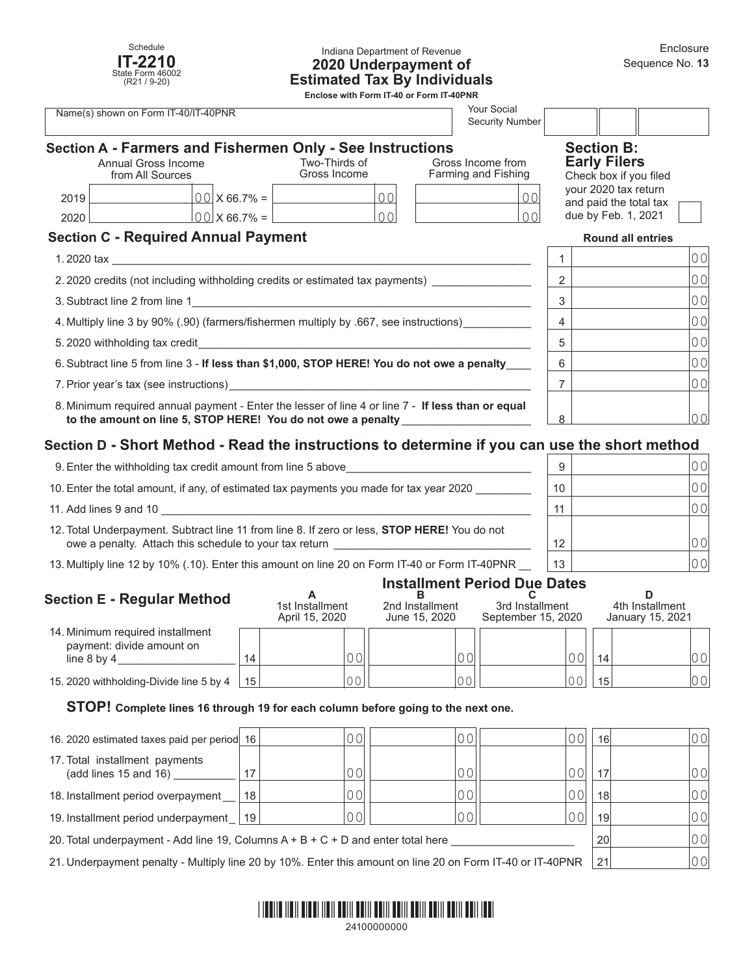

#### Indiana Department of Revenue **2020 Underpayment of Estimated Tax By Individuals**

**Enclose with Form IT-40 or Form IT-40PNR**

| <b>Your Social</b><br>Name(s) shown on Form IT-40/IT-40PNR<br><b>Security Number</b>                                                                                                                                                                |                                         |                      |                                                                                            |  |                                          |                          |                                                                    |                |
|-----------------------------------------------------------------------------------------------------------------------------------------------------------------------------------------------------------------------------------------------------|-----------------------------------------|----------------------|--------------------------------------------------------------------------------------------|--|------------------------------------------|--------------------------|--------------------------------------------------------------------|----------------|
|                                                                                                                                                                                                                                                     | Annual Gross Income<br>from All Sources |                      | Section A - Farmers and Fishermen Only - See Instructions<br>Two-Thirds of<br>Gross Income |  | Gross Income from<br>Farming and Fishing |                          | <b>Section B:</b><br><b>Early Filers</b><br>Check box if you filed |                |
| 2019                                                                                                                                                                                                                                                |                                         | $00 \times 66.7\% =$ | 00                                                                                         |  | 00                                       |                          | your 2020 tax return<br>and paid the total tax                     |                |
| 2020                                                                                                                                                                                                                                                |                                         | 00 X 66.7% =         | 00                                                                                         |  | $\Omega$                                 |                          | due by Feb. 1, 2021                                                |                |
| <b>Section C - Required Annual Payment</b>                                                                                                                                                                                                          |                                         |                      |                                                                                            |  |                                          | <b>Round all entries</b> |                                                                    |                |
| $1.2020$ tax and $\sim$ 1.2020 tax and $\sim$ 1.2020 tax and $\sim$ 1.2020 tax and $\sim$ 1.2020 tax and $\sim$ 1.2020 tax and $\sim$ 1.2020 tax and $\sim$ 1.2020 tax and $\sim$ 1.2020 tax and $\sim$ 1.2020 tax and $\sim$ 1.2020 tax and $\sim$ |                                         |                      |                                                                                            |  |                                          |                          |                                                                    | 0 <sub>0</sub> |
| 2.2020 credits (not including withholding credits or estimated tax payments)                                                                                                                                                                        |                                         |                      |                                                                                            |  |                                          | 2                        |                                                                    | 0 <sup>0</sup> |
|                                                                                                                                                                                                                                                     |                                         |                      |                                                                                            |  |                                          | 3                        |                                                                    | 0 <sup>0</sup> |
| 4. Multiply line 3 by 90% (.90) (farmers/fishermen multiply by .667, see instructions)                                                                                                                                                              |                                         |                      |                                                                                            |  |                                          | 4                        |                                                                    | 0 <sup>0</sup> |
|                                                                                                                                                                                                                                                     |                                         |                      |                                                                                            |  |                                          | 5                        |                                                                    | 0 <sub>0</sub> |
| 6. Subtract line 5 from line 3 - If less than \$1,000, STOP HERE! You do not owe a penalty                                                                                                                                                          |                                         |                      |                                                                                            |  |                                          | 6                        |                                                                    | 0 <sup>0</sup> |
| 7. Prior year's tax (see instructions) example and the contract of the contract of the contract of the contract of the contract of the contract of the contract of the contract of the contract of the contract of the contrac                      |                                         |                      |                                                                                            |  | 7                                        |                          | 00                                                                 |                |
| 8. Minimum required annual payment - Enter the lesser of line 4 or line 7 - If less than or equal<br>to the amount on line 5, STOP HERE! You do not owe a penalty                                                                                   |                                         |                      |                                                                                            |  | 8                                        |                          | 0 <sub>0</sub>                                                     |                |

## **Section D - Short Method - Read the instructions to determine if you can use the short method**

| 9. Enter the withholding tax credit amount from line 5 above                                                                                                  | 9               | 00    |
|---------------------------------------------------------------------------------------------------------------------------------------------------------------|-----------------|-------|
| 10. Enter the total amount, if any, of estimated tax payments you made for tax year 2020                                                                      | 10              | 00    |
| 11. Add lines 9 and 10                                                                                                                                        | 11              | 0 O I |
| 12. Total Underpayment. Subtract line 11 from line 8. If zero or less, <b>STOP HERE!</b> You do not<br>owe a penalty. Attach this schedule to your tax return | 12 <sup>2</sup> | 00    |
| 13. Multiply line 12 by 10% (.10). Enter this amount on line 20 on Form IT-40 or Form IT-40PNR                                                                | 13              | 00    |

#### **Installment Period Due Dates**

| <b>Section E - Regular Method</b>                                                |    | 1st Installment<br>April 15, 2020 | 2nd Installment<br>June 15, 2020 | 3rd Installment<br>September 15, 2020 | 4th Installment<br>January 15, 2021 |    |
|----------------------------------------------------------------------------------|----|-----------------------------------|----------------------------------|---------------------------------------|-------------------------------------|----|
| 14. Minimum required installment<br>payment: divide amount on<br>line $8$ by $4$ | 14 | 0 <sup>0</sup>                    |                                  | 0 <sub>0</sub>                        | 14                                  | 00 |
| 15. 2020 withholding-Divide line 5 by 4                                          | 15 | 0 <sup>C</sup>                    | $\cap$                           | $\cap$ $\cap$                         | 15                                  | 00 |

#### **STOP! Complete lines 16 through 19 for each column before going to the next one.**

| 16. 2020 estimated taxes paid per period 16                                                                |    | 0 OI           |  | 0 O I | 16 | 00 |
|------------------------------------------------------------------------------------------------------------|----|----------------|--|-------|----|----|
| 17. Total installment payments<br>(add lines 15 and 16)                                                    | 17 | 00             |  | 00    | 17 | 00 |
| 18. Installment period overpayment                                                                         | 18 | 0 Ol           |  | 00    | 18 | 00 |
| 19. Installment period underpayment   19                                                                   |    | 0 <sup>0</sup> |  | 00    | 19 | 00 |
| 20. Total underpayment - Add line 19, Columns $A + B + C + D$ and enter total here                         |    |                |  |       | 20 | 00 |
| 21. Underpayment penalty - Multiply line 20 by 10%. Enter this amount on line 20 on Form IT-40 or IT-40PNR |    |                |  | 21    | 00 |    |

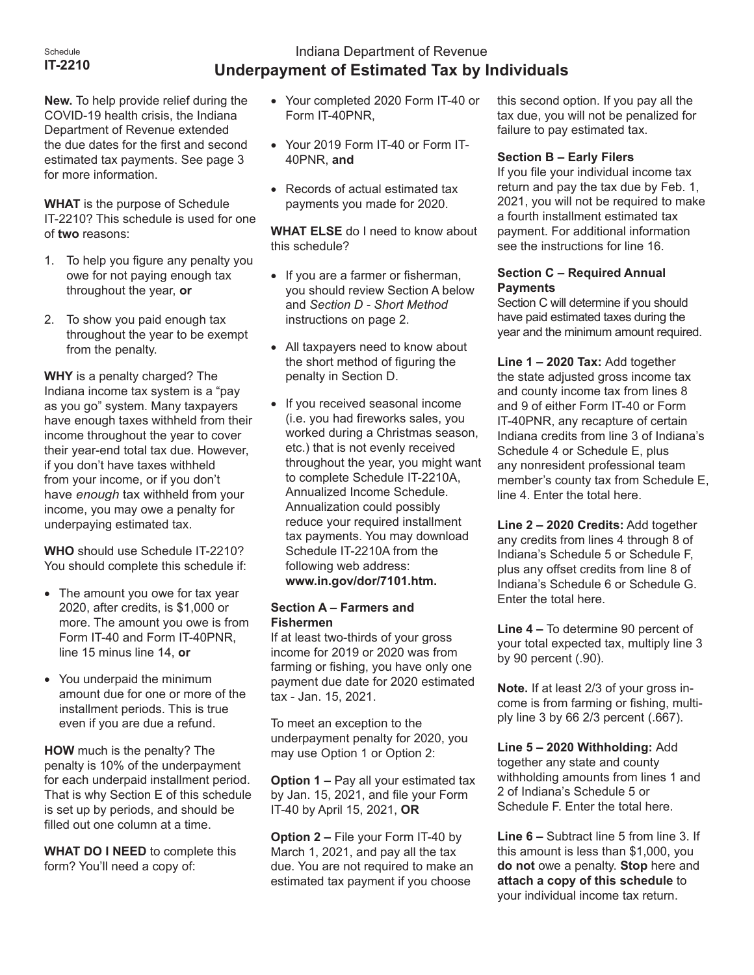#### Schedule **IT-2210**

# Indiana Department of Revenue **Underpayment of Estimated Tax by Individuals**

**New.** To help provide relief during the COVID-19 health crisis, the Indiana Department of Revenue extended the due dates for the first and second estimated tax payments. See page 3 for more information.

**WHAT** is the purpose of Schedule IT-2210? This schedule is used for one of **two** reasons:

- 1. To help you figure any penalty you owe for not paying enough tax throughout the year, **or**
- 2. To show you paid enough tax throughout the year to be exempt from the penalty.

**WHY** is a penalty charged? The Indiana income tax system is a "pay as you go" system. Many taxpayers have enough taxes withheld from their income throughout the year to cover their year-end total tax due. However, if you don't have taxes withheld from your income, or if you don't have *enough* tax withheld from your income, you may owe a penalty for underpaying estimated tax.

**WHO** should use Schedule IT-2210? You should complete this schedule if:

- The amount you owe for tax year 2020, after credits, is \$1,000 or more. The amount you owe is from Form IT-40 and Form IT-40PNR, line 15 minus line 14, **or**
- You underpaid the minimum amount due for one or more of the installment periods. This is true even if you are due a refund.

**HOW** much is the penalty? The penalty is 10% of the underpayment for each underpaid installment period. That is why Section E of this schedule is set up by periods, and should be filled out one column at a time.

**WHAT DO I NEED** to complete this form? You'll need a copy of:

- • Your completed 2020 Form IT-40 or Form IT-40PNR,
- • Your 2019 Form IT-40 or Form IT-40PNR, **and**
- Records of actual estimated tax payments you made for 2020.

**WHAT ELSE** do I need to know about this schedule?

- If you are a farmer or fisherman, you should review Section A below and *Section D - Short Method* instructions on page 2.
- All taxpayers need to know about the short method of figuring the penalty in Section D.
- • If you received seasonal income (i.e. you had fireworks sales, you worked during a Christmas season, etc.) that is not evenly received throughout the year, you might want to complete Schedule IT-2210A, Annualized Income Schedule. Annualization could possibly reduce your required installment tax payments. You may download Schedule IT-2210A from the following web address: **www.in.gov/dor/7101.htm.**

#### **Section A – Farmers and Fishermen**

If at least two-thirds of your gross income for 2019 or 2020 was from farming or fishing, you have only one payment due date for 2020 estimated tax - Jan. 15, 2021.

To meet an exception to the underpayment penalty for 2020, you may use Option 1 or Option 2:

**Option 1 –** Pay all your estimated tax by Jan. 15, 2021, and file your Form IT-40 by April 15, 2021, **OR**

**Option 2 –** File your Form IT-40 by March 1, 2021, and pay all the tax due. You are not required to make an estimated tax payment if you choose

this second option. If you pay all the tax due, you will not be penalized for failure to pay estimated tax.

### **Section B – Early Filers**

If you file your individual income tax return and pay the tax due by Feb. 1, 2021, you will not be required to make a fourth installment estimated tax payment. For additional information see the instructions for line 16.

#### **Section C – Required Annual Payments**

Section C will determine if you should have paid estimated taxes during the year and the minimum amount required.

**Line 1 – 2020 Tax:** Add together the state adjusted gross income tax and county income tax from lines 8 and 9 of either Form IT-40 or Form IT-40PNR, any recapture of certain Indiana credits from line 3 of Indiana's Schedule 4 or Schedule E, plus any nonresident professional team member's county tax from Schedule E, line 4. Enter the total here.

**Line 2 – 2020 Credits:** Add together any credits from lines 4 through 8 of Indiana's Schedule 5 or Schedule F, plus any offset credits from line 8 of Indiana's Schedule 6 or Schedule G. Enter the total here.

**Line 4 –** To determine 90 percent of your total expected tax, multiply line 3 by 90 percent (.90).

**Note.** If at least 2/3 of your gross income is from farming or fishing, multiply line 3 by 66 2/3 percent (.667).

**Line 5 – 2020 Withholding:** Add together any state and county withholding amounts from lines 1 and 2 of Indiana's Schedule 5 or Schedule F. Enter the total here.

**Line 6 –** Subtract line 5 from line 3. If this amount is less than \$1,000, you **do not** owe a penalty. **Stop** here and **attach a copy of this schedule** to your individual income tax return.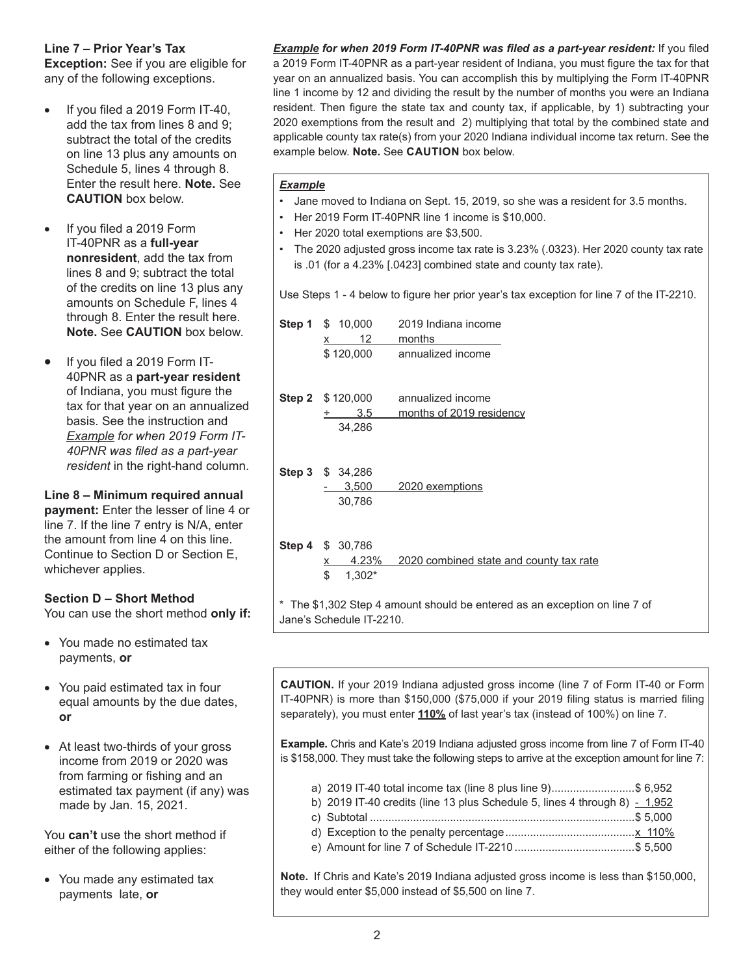#### **Line 7 – Prior Year's Tax**

**Exception:** See if you are eligible for any of the following exceptions.

- If you filed a 2019 Form IT-40, add the tax from lines 8 and 9; subtract the total of the credits on line 13 plus any amounts on Schedule 5, lines 4 through 8. Enter the result here. **Note.** See **CAUTION** box below.
- If you filed a 2019 Form IT-40PNR as a **full-year nonresident**, add the tax from lines 8 and 9; subtract the total of the credits on line 13 plus any amounts on Schedule F, lines 4 through 8. Enter the result here. **Note.** See **CAUTION** box below.
- If you filed a 2019 Form IT-40PNR as a **part-year resident**  of Indiana, you must figure the tax for that year on an annualized basis. See the instruction and *Example for when 2019 Form IT-40PNR was filed as a part-year resident* in the right-hand column.

**Line 8 – Minimum required annual payment:** Enter the lesser of line 4 or line 7. If the line 7 entry is N/A, enter the amount from line 4 on this line. Continue to Section D or Section E, whichever applies.

### **Section D – Short Method**

You can use the short method **only if:**

- You made no estimated tax payments, **or**
- You paid estimated tax in four equal amounts by the due dates, **or**
- At least two-thirds of your gross income from 2019 or 2020 was from farming or fishing and an estimated tax payment (if any) was made by Jan. 15, 2021.

You **can't** use the short method if either of the following applies:

• You made any estimated tax payments late, **or**

*Example for when 2019 Form IT-40PNR was filed as a part-year resident:* If you filed a 2019 Form IT-40PNR as a part-year resident of Indiana, you must figure the tax for that year on an annualized basis. You can accomplish this by multiplying the Form IT-40PNR line 1 income by 12 and dividing the result by the number of months you were an Indiana resident. Then figure the state tax and county tax, if applicable, by 1) subtracting your 2020 exemptions from the result and 2) multiplying that total by the combined state and applicable county tax rate(s) from your 2020 Indiana individual income tax return. See the example below. **Note.** See **CAUTION** box below.

#### *Example*

- Jane moved to Indiana on Sept. 15, 2019, so she was a resident for 3.5 months.
- Her 2019 Form IT-40PNR line 1 income is \$10,000.
- Her 2020 total exemptions are \$3,500.
- The 2020 adjusted gross income tax rate is 3.23% (.0323). Her 2020 county tax rate is .01 (for a 4.23% [.0423] combined state and county tax rate).

Use Steps 1 - 4 below to figure her prior year's tax exception for line 7 of the IT-2210.

|                                                                            | <b>Step 1</b> \$ 10,000<br>12<br>x | 2019 Indiana income<br>months           |  |  |  |
|----------------------------------------------------------------------------|------------------------------------|-----------------------------------------|--|--|--|
|                                                                            | \$120,000                          | annualized income                       |  |  |  |
|                                                                            | <b>Step 2</b> $$120,000$           | annualized income                       |  |  |  |
|                                                                            | 3.5                                | months of 2019 residency                |  |  |  |
|                                                                            | 34,286                             |                                         |  |  |  |
|                                                                            | Step 3 \$ 34,286                   |                                         |  |  |  |
|                                                                            | 3,500                              | 2020 exemptions                         |  |  |  |
|                                                                            | 30,786                             |                                         |  |  |  |
|                                                                            | <b>Step 4 \$ 30,786</b>            |                                         |  |  |  |
|                                                                            | 4.23%<br><u>х</u>                  | 2020 combined state and county tax rate |  |  |  |
|                                                                            | \$<br>1,302*                       |                                         |  |  |  |
| * The \$1,302 Step 4 amount should be entered as an exception on line 7 of |                                    |                                         |  |  |  |

**CAUTION.** If your 2019 Indiana adjusted gross income (line 7 of Form IT-40 or Form

IT-40PNR) is more than \$150,000 (\$75,000 if your 2019 filing status is married filing separately), you must enter **110%** of last year's tax (instead of 100%) on line 7.

**Example.** Chris and Kate's 2019 Indiana adjusted gross income from line 7 of Form IT-40 is \$158,000. They must take the following steps to arrive at the exception amount for line 7:

- a) 2019 IT-40 total income tax (line 8 plus line 9)...........................\$ 6,952
- b) 2019 IT-40 credits (line 13 plus Schedule 5, lines 4 through 8)  $-1,952$
- c) Subtotal ......................................................................................\$ 5,000
- d) Exception to the penalty percentage..........................................x 110%
- e) Amount for line 7 of Schedule IT-2210 .......................................\$ 5,500

**Note.** If Chris and Kate's 2019 Indiana adjusted gross income is less than \$150,000, they would enter \$5,000 instead of \$5,500 on line 7.

Jane's Schedule IT-2210.